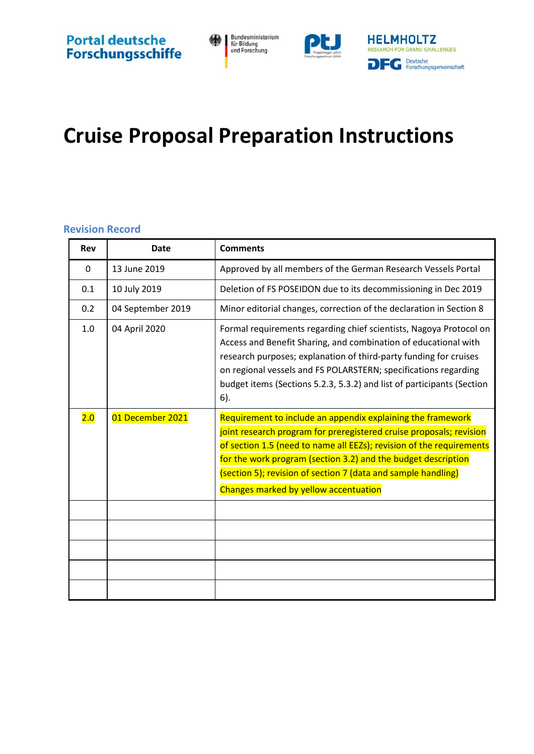



# **Cruise Proposal Preparation Instructions**

#### <span id="page-0-0"></span>**Revision Record**

| <b>Rev</b> | <b>Date</b>       | <b>Comments</b>                                                                                                                                                                                                                                                                                                                                                                       |
|------------|-------------------|---------------------------------------------------------------------------------------------------------------------------------------------------------------------------------------------------------------------------------------------------------------------------------------------------------------------------------------------------------------------------------------|
| 0          | 13 June 2019      | Approved by all members of the German Research Vessels Portal                                                                                                                                                                                                                                                                                                                         |
| 0.1        | 10 July 2019      | Deletion of FS POSEIDON due to its decommissioning in Dec 2019                                                                                                                                                                                                                                                                                                                        |
| 0.2        | 04 September 2019 | Minor editorial changes, correction of the declaration in Section 8                                                                                                                                                                                                                                                                                                                   |
| 1.0        | 04 April 2020     | Formal requirements regarding chief scientists, Nagoya Protocol on<br>Access and Benefit Sharing, and combination of educational with<br>research purposes; explanation of third-party funding for cruises<br>on regional vessels and FS POLARSTERN; specifications regarding<br>budget items (Sections 5.2.3, 5.3.2) and list of participants (Section<br>6).                        |
| 2.0        | 01 December 2021  | Requirement to include an appendix explaining the framework<br>joint research program for preregistered cruise proposals; revision<br>of section 1.5 (need to name all EEZs); revision of the requirements<br>for the work program (section 3.2) and the budget description<br>(section 5); revision of section 7 (data and sample handling)<br>Changes marked by yellow accentuation |
|            |                   |                                                                                                                                                                                                                                                                                                                                                                                       |
|            |                   |                                                                                                                                                                                                                                                                                                                                                                                       |
|            |                   |                                                                                                                                                                                                                                                                                                                                                                                       |
|            |                   |                                                                                                                                                                                                                                                                                                                                                                                       |
|            |                   |                                                                                                                                                                                                                                                                                                                                                                                       |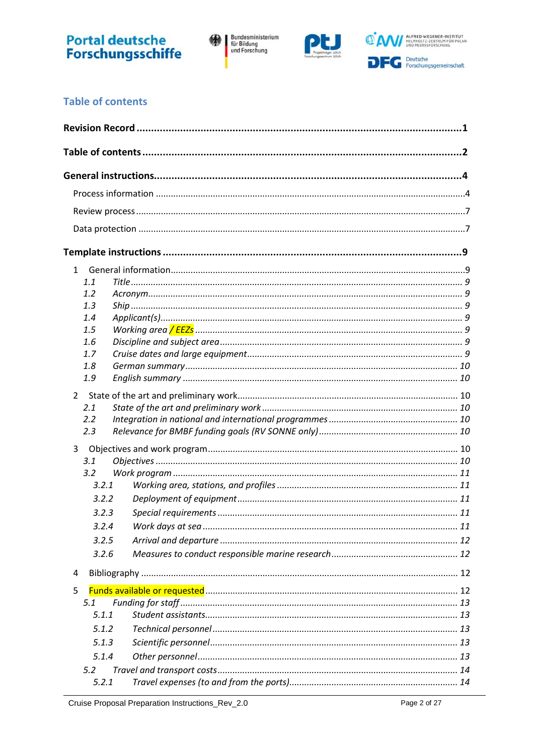

Bundesministerium<br>für Bildung<br>und Forschung 缘|



### <span id="page-1-0"></span>**Table of contents**

| 1.1<br>1.2<br>1.3<br>1.4<br>1.5<br>1.6<br>1.7<br>1.8<br>1.9<br>$2^{\circ}$<br>2.1<br>2.2<br>2.3<br>$\overline{3}$<br>3.1<br>3.2<br>3.2.1<br>3.2.2<br>3.2.3<br>3.2.4<br>3.2.5<br>3.2.6<br>4<br>5<br>5.1<br>5.1.1<br>5.1.2<br>5.1.3<br>5.1.4 |  |  |
|--------------------------------------------------------------------------------------------------------------------------------------------------------------------------------------------------------------------------------------------|--|--|
|                                                                                                                                                                                                                                            |  |  |
|                                                                                                                                                                                                                                            |  |  |
|                                                                                                                                                                                                                                            |  |  |
|                                                                                                                                                                                                                                            |  |  |
|                                                                                                                                                                                                                                            |  |  |
|                                                                                                                                                                                                                                            |  |  |
|                                                                                                                                                                                                                                            |  |  |
|                                                                                                                                                                                                                                            |  |  |
|                                                                                                                                                                                                                                            |  |  |
|                                                                                                                                                                                                                                            |  |  |
|                                                                                                                                                                                                                                            |  |  |
|                                                                                                                                                                                                                                            |  |  |
|                                                                                                                                                                                                                                            |  |  |
|                                                                                                                                                                                                                                            |  |  |
|                                                                                                                                                                                                                                            |  |  |
|                                                                                                                                                                                                                                            |  |  |
|                                                                                                                                                                                                                                            |  |  |
|                                                                                                                                                                                                                                            |  |  |
|                                                                                                                                                                                                                                            |  |  |
|                                                                                                                                                                                                                                            |  |  |
|                                                                                                                                                                                                                                            |  |  |
|                                                                                                                                                                                                                                            |  |  |
|                                                                                                                                                                                                                                            |  |  |
|                                                                                                                                                                                                                                            |  |  |
|                                                                                                                                                                                                                                            |  |  |
|                                                                                                                                                                                                                                            |  |  |
|                                                                                                                                                                                                                                            |  |  |
|                                                                                                                                                                                                                                            |  |  |
|                                                                                                                                                                                                                                            |  |  |
|                                                                                                                                                                                                                                            |  |  |
|                                                                                                                                                                                                                                            |  |  |
|                                                                                                                                                                                                                                            |  |  |
|                                                                                                                                                                                                                                            |  |  |
|                                                                                                                                                                                                                                            |  |  |
|                                                                                                                                                                                                                                            |  |  |
| 5.2<br>5.2.1                                                                                                                                                                                                                               |  |  |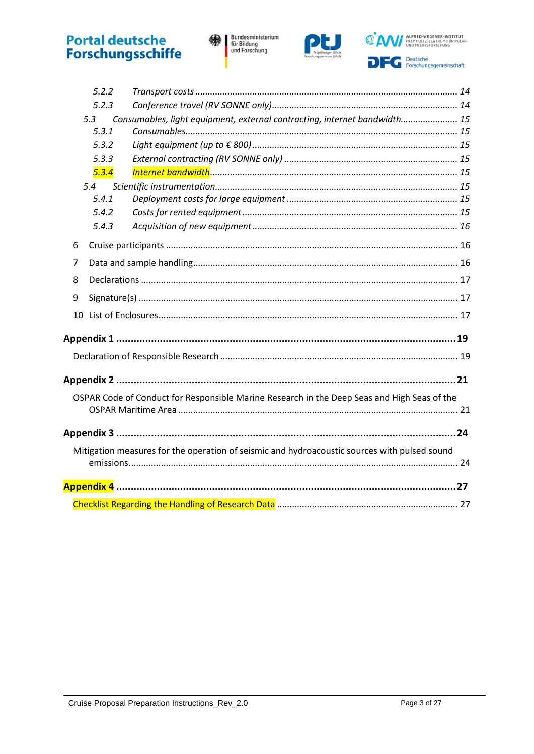Bundesministerium<br>für Bildung<br>und Forschung 缘|



<sup>O'</sup>AM/ ALFRED-WEGENER-INSTITUT **DFC** Peutsche<br>Forschungsgemeinschaft

|   | 5.2.2 |                                                                                              |  |
|---|-------|----------------------------------------------------------------------------------------------|--|
|   | 5.2.3 |                                                                                              |  |
|   | 5.3   | Consumables, light equipment, external contracting, internet bandwidth 15                    |  |
|   | 5.3.1 |                                                                                              |  |
|   | 5.3.2 |                                                                                              |  |
|   | 5.3.3 |                                                                                              |  |
|   | 5.3.4 |                                                                                              |  |
|   | 5.4   |                                                                                              |  |
|   | 5.4.1 |                                                                                              |  |
|   | 5.4.2 |                                                                                              |  |
|   | 5.4.3 |                                                                                              |  |
| 6 |       |                                                                                              |  |
| 7 |       |                                                                                              |  |
| 8 |       |                                                                                              |  |
| 9 |       |                                                                                              |  |
|   |       |                                                                                              |  |
|   |       |                                                                                              |  |
|   |       |                                                                                              |  |
|   |       |                                                                                              |  |
|   |       |                                                                                              |  |
|   |       | OSPAR Code of Conduct for Responsible Marine Research in the Deep Seas and High Seas of the  |  |
|   |       |                                                                                              |  |
|   |       |                                                                                              |  |
|   |       | Mitigation measures for the operation of seismic and hydroacoustic sources with pulsed sound |  |
|   |       |                                                                                              |  |
|   |       |                                                                                              |  |
|   |       |                                                                                              |  |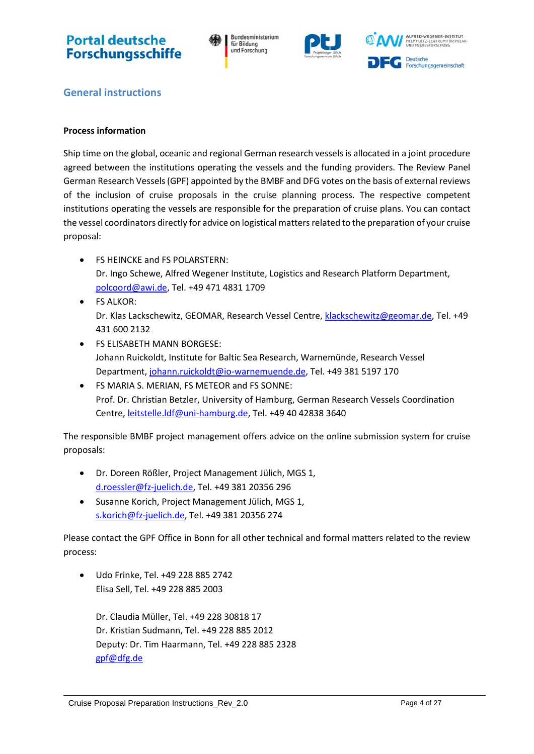Bundesministerium für Bildung und Forschung





<span id="page-3-0"></span>**General instructions**

#### <span id="page-3-1"></span>**Process information**

Ship time on the global, oceanic and regional German research vessels is allocated in a joint procedure agreed between the institutions operating the vessels and the funding providers. The Review Panel German Research Vessels(GPF) appointed by the BMBF and DFG votes on the basis of external reviews of the inclusion of cruise proposals in the cruise planning process. The respective competent institutions operating the vessels are responsible for the preparation of cruise plans. You can contact the vessel coordinators directly for advice on logistical matters related to the preparation of your cruise proposal:

- FS HEINCKE and FS POLARSTERN: Dr. Ingo Schewe, Alfred Wegener Institute, Logistics and Research Platform Department, [polcoord@awi.de,](mailto:polcoord@awi.de) Tel. +49 471 4831 1709
- FS ALKOR: Dr. Klas Lackschewitz, GEOMAR, Research Vessel Centre, [klackschewitz@geomar.de,](mailto:klackschewitz@geomar.de) Tel. +49 431 600 2132
- FS ELISABETH MANN BORGESE: Johann Ruickoldt, Institute for Baltic Sea Research, Warnemünde, Research Vessel Department[, johann.ruickoldt@io-warnemuende.de,](mailto:johann.ruickoldt@io-warnemuende.de) Tel. +49 381 5197 170
- FS MARIA S. MERIAN, FS METEOR and FS SONNE: Prof. Dr. Christian Betzler, University of Hamburg, German Research Vessels Coordination Centre, [leitstelle.ldf@uni-hamburg.de,](mailto:leitstelle.ldf@uni-hamburg.de) Tel. +49 40 42838 3640

The responsible BMBF project management offers advice on the online submission system for cruise proposals:

- Dr. Doreen Rößler, Project Management Jülich, MGS 1, [d.roessler@fz-juelich.de,](mailto:d.roessler@fz-juelich.de) Tel. +49 381 20356 296
- Susanne Korich, Project Management Jülich, MGS 1, [s.korich@fz-juelich.de,](mailto:s.korich@fz-juelich.de) Tel. +49 381 20356 274

Please contact the GPF Office in Bonn for all other technical and formal matters related to the review process:

• Udo Frinke, Tel. +49 228 885 2742 Elisa Sell, Tel. +49 228 885 2003

Dr. Claudia Müller, Tel. +49 228 30818 17 Dr. Kristian Sudmann, Tel. +49 228 885 2012 Deputy: Dr. Tim Haarmann, Tel. +49 228 885 2328 [gpf@dfg.de](mailto:gpf@dfg.de)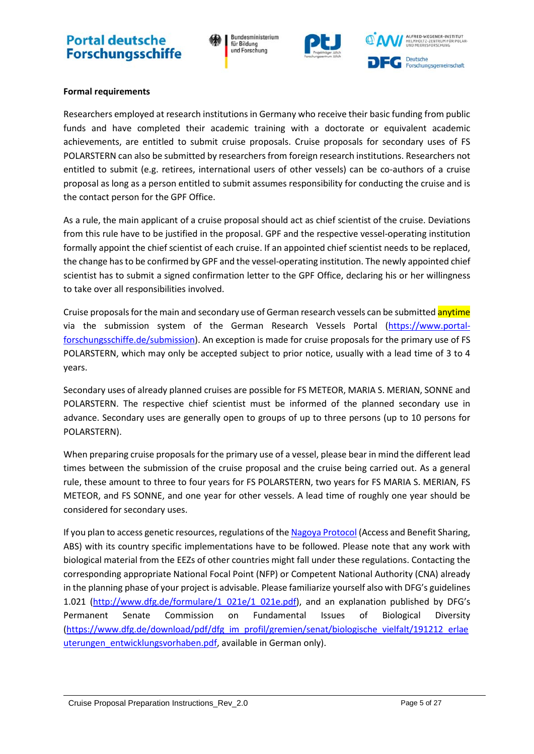Bundesministerium für Bildung und Forschung



ALFRED-WEGENER-INSTITUT OLTZ-ZENTRUM F **Deutsche** Forschungsgemeinschaft

#### **Formal requirements**

Researchers employed at research institutions in Germany who receive their basic funding from public funds and have completed their academic training with a doctorate or equivalent academic achievements, are entitled to submit cruise proposals. Cruise proposals for secondary uses of FS POLARSTERN can also be submitted by researchers from foreign research institutions. Researchers not entitled to submit (e.g. retirees, international users of other vessels) can be co-authors of a cruise proposal as long as a person entitled to submit assumes responsibility for conducting the cruise and is the contact person for the GPF Office.

As a rule, the main applicant of a cruise proposal should act as chief scientist of the cruise. Deviations from this rule have to be justified in the proposal. GPF and the respective vessel-operating institution formally appoint the chief scientist of each cruise. If an appointed chief scientist needs to be replaced, the change has to be confirmed by GPF and the vessel-operating institution. The newly appointed chief scientist has to submit a signed confirmation letter to the GPF Office, declaring his or her willingness to take over all responsibilities involved.

Cruise proposals for the main and secondary use of German research vessels can be submitted anytime via the submission system of the German Research Vessels Portal [\(https://www.portal](https://www.portal-forschungsschiffe.de/submission)[forschungsschiffe.de/submission\)](https://www.portal-forschungsschiffe.de/submission). An exception is made for cruise proposals for the primary use of FS POLARSTERN, which may only be accepted subject to prior notice, usually with a lead time of 3 to 4 years.

Secondary uses of already planned cruises are possible for FS METEOR, MARIA S. MERIAN, SONNE and POLARSTERN. The respective chief scientist must be informed of the planned secondary use in advance. Secondary uses are generally open to groups of up to three persons (up to 10 persons for POLARSTERN).

When preparing cruise proposals for the primary use of a vessel, please bear in mind the different lead times between the submission of the cruise proposal and the cruise being carried out. As a general rule, these amount to three to four years for FS POLARSTERN, two years for FS MARIA S. MERIAN, FS METEOR, and FS SONNE, and one year for other vessels. A lead time of roughly one year should be considered for secondary uses.

<span id="page-4-0"></span>If you plan to access genetic resources, regulations of th[e Nagoya Protocol](https://www.cbd.int/abs/) (Access and Benefit Sharing, ABS) with its country specific implementations have to be followed. Please note that any work with biological material from the EEZs of other countries might fall under these regulations. Contacting the corresponding appropriate National Focal Point (NFP) or Competent National Authority (CNA) already in the planning phase of your project is advisable. Please familiarize yourself also with DFG's guidelines 1.021 [\(http://www.dfg.de/formulare/1\\_021e/1\\_021e.pdf\)](http://www.dfg.de/formulare/1_021e/1_021e.pdf), and an explanation published by DFG's Permanent Senate Commission on Fundamental Issues of Biological Diversity [\(https://www.dfg.de/download/pdf/dfg\\_im\\_profil/gremien/senat/biologische\\_vielfalt/191212\\_erlae](https://www.dfg.de/download/pdf/dfg_im_profil/gremien/senat/biologische_vielfalt/191212_erlaeuterungen_entwicklungsvorhaben.pdf) uterungen entwicklungsvorhaben.pdf, available in German only).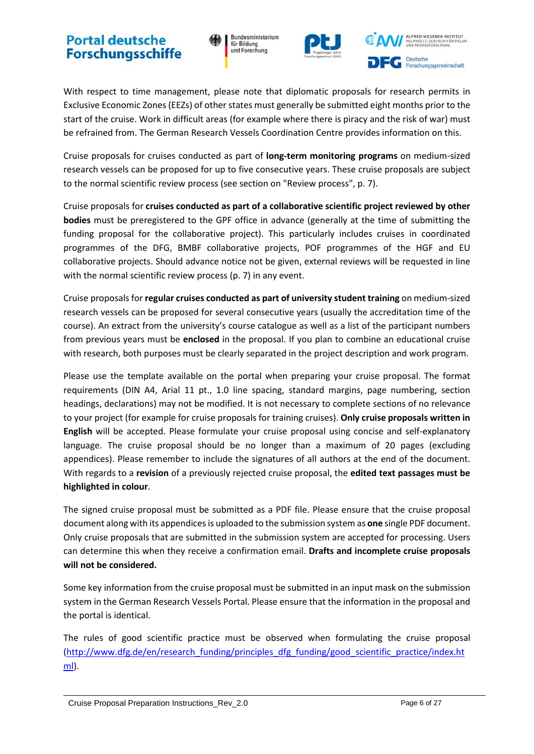Bundesministerium für Bildung und Forschung



ALFRED-WEGENER-INSTITUT **Deutsche** Forschungsgemeinschaft

With respect to time management, please note that diplomatic proposals for research permits in Exclusive Economic Zones (EEZs) of other states must generally be submitted eight months prior to the start of the cruise. Work in difficult areas (for example where there is piracy and the risk of war) must be refrained from. The German Research Vessels Coordination Centre provides information on this.

Cruise proposals for cruises conducted as part of **long-term monitoring programs** on medium-sized research vessels can be proposed for up to five consecutive years. These cruise proposals are subject to the normal scientific review process (see section on "Review process", p. [7\)](#page-6-0).

Cruise proposals for **cruises conducted as part of a collaborative scientific project reviewed by other bodies** must be preregistered to the GPF office in advance (generally at the time of submitting the funding proposal for the collaborative project). This particularly includes cruises in coordinated programmes of the DFG, BMBF collaborative projects, POF programmes of the HGF and EU collaborative projects. Should advance notice not be given, external reviews will be requested in line with the normal scientific review process (p[. 7\)](#page-6-0) in any event.

Cruise proposals for **regular cruises conducted as part of university student training** on medium-sized research vessels can be proposed for several consecutive years (usually the accreditation time of the course). An extract from the university's course catalogue as well as a list of the participant numbers from previous years must be **enclosed** in the proposal. If you plan to combine an educational cruise with research, both purposes must be clearly separated in the project description and work program.

Please use the template available on the portal when preparing your cruise proposal. The format requirements (DIN A4, Arial 11 pt., 1.0 line spacing, standard margins, page numbering, section headings, declarations) may not be modified. It is not necessary to complete sections of no relevance to your project (for example for cruise proposals for training cruises). **Only cruise proposals written in English** will be accepted. Please formulate your cruise proposal using concise and self-explanatory language. The cruise proposal should be no longer than a maximum of 20 pages (excluding appendices). Please remember to include the signatures of all authors at the end of the document. With regards to a **revision** of a previously rejected cruise proposal, the **edited text passages must be highlighted in colour**.

The signed cruise proposal must be submitted as a PDF file. Please ensure that the cruise proposal document along with its appendices is uploaded to the submission system as **one** single PDF document. Only cruise proposals that are submitted in the submission system are accepted for processing. Users can determine this when they receive a confirmation email. **Drafts and incomplete cruise proposals will not be considered.** 

Some key information from the cruise proposal must be submitted in an input mask on the submission system in the German Research Vessels Portal. Please ensure that the information in the proposal and the portal is identical.

The rules of good scientific practice must be observed when formulating the cruise proposal [\(http://www.dfg.de/en/research\\_funding/principles\\_dfg\\_funding/good\\_scientific\\_practice/index.ht](http://www.dfg.de/en/research_funding/principles_dfg_funding/good_scientific_practice/index.html)  $m$ .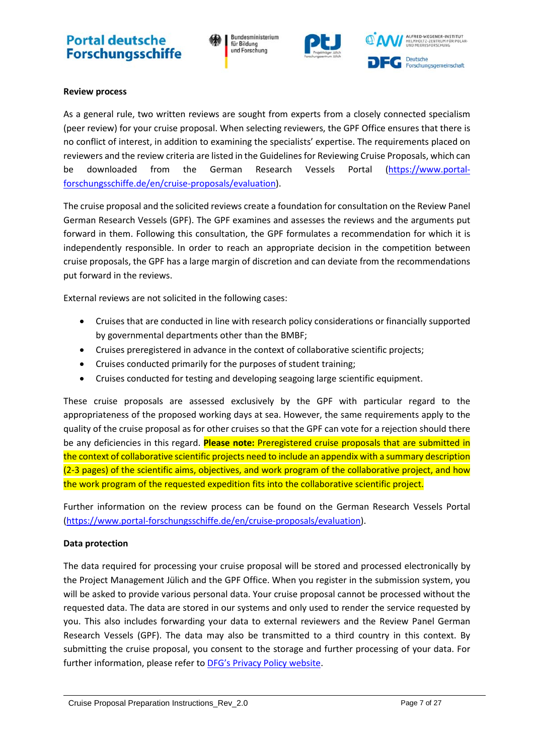Bundesministerium für Bildung und Forschung



#### <span id="page-6-0"></span>**Review process**

As a general rule, two written reviews are sought from experts from a closely connected specialism (peer review) for your cruise proposal. When selecting reviewers, the GPF Office ensures that there is no conflict of interest, in addition to examining the specialists' expertise. The requirements placed on reviewers and the review criteria are listed in the Guidelines for Reviewing Cruise Proposals, which can be downloaded from the German Research Vessels Portal (https://www.portalforschungsschiffe.de/en/cruise-proposals/evaluation).

The cruise proposal and the solicited reviews create a foundation for consultation on the Review Panel German Research Vessels (GPF). The GPF examines and assesses the reviews and the arguments put forward in them. Following this consultation, the GPF formulates a recommendation for which it is independently responsible. In order to reach an appropriate decision in the competition between cruise proposals, the GPF has a large margin of discretion and can deviate from the recommendations put forward in the reviews.

External reviews are not solicited in the following cases:

- Cruises that are conducted in line with research policy considerations or financially supported by governmental departments other than the BMBF;
- Cruises preregistered in advance in the context of collaborative scientific projects;
- Cruises conducted primarily for the purposes of student training;
- Cruises conducted for testing and developing seagoing large scientific equipment.

These cruise proposals are assessed exclusively by the GPF with particular regard to the appropriateness of the proposed working days at sea. However, the same requirements apply to the quality of the cruise proposal as for other cruises so that the GPF can vote for a rejection should there be any deficiencies in this regard. **Please note:** Preregistered cruise proposals that are submitted in the context of collaborative scientific projects need to include an appendix with a summary description (2-3 pages) of the scientific aims, objectives, and work program of the collaborative project, and how the work program of the requested expedition fits into the collaborative scientific project.

Further information on the review process can be found on the German Research Vessels Portal (https://www.portal-forschungsschiffe.de/en/cruise-proposals/evaluation).

#### <span id="page-6-1"></span>**Data protection**

The data required for processing your cruise proposal will be stored and processed electronically by the Project Management Jülich and the GPF Office. When you register in the submission system, you will be asked to provide various personal data. Your cruise proposal cannot be processed without the requested data. The data are stored in our systems and only used to render the service requested by you. This also includes forwarding your data to external reviewers and the Review Panel German Research Vessels (GPF). The data may also be transmitted to a third country in this context. By submitting the cruise proposal, you consent to the storage and further processing of your data. For further information, please refer to [DFG's Privacy Policy website.](https://www.dfg.de/en/service/privacy_policy/index.html)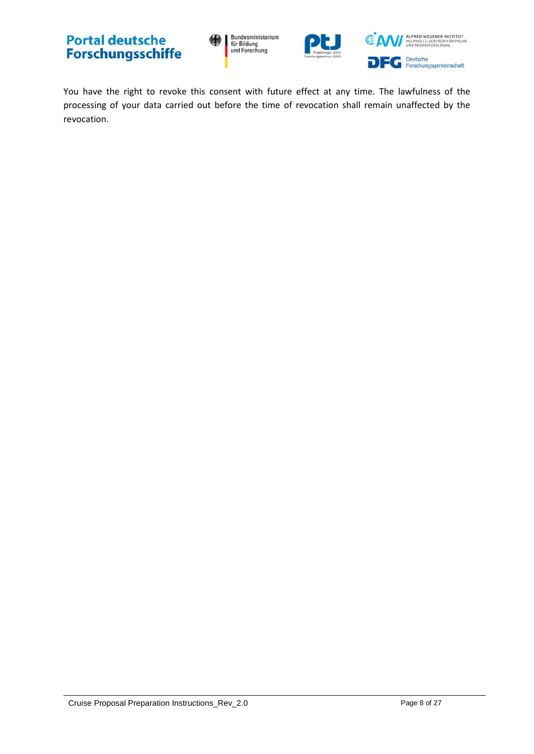Bundesministerium<br>für Bildung<br>und Forschung





You have the right to revoke this consent with future effect at any time. The lawfulness of the processing of your data carried out before the time of revocation shall remain unaffected by the revocation.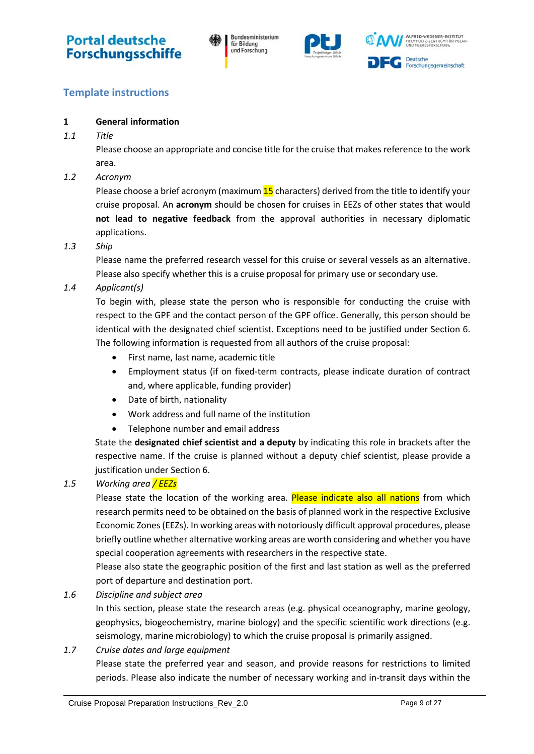



### <span id="page-8-0"></span>**Template instructions**

#### <span id="page-8-1"></span>**1 General information**

<span id="page-8-2"></span>*1.1 Title*

Please choose an appropriate and concise title for the cruise that makes reference to the work area.

<span id="page-8-3"></span>*1.2 Acronym*

Please choose a brief acronym (maximum  $15$  characters) derived from the title to identify your cruise proposal. An **acronym** should be chosen for cruises in EEZs of other states that would **not lead to negative feedback** from the approval authorities in necessary diplomatic applications.

<span id="page-8-4"></span>*1.3 Ship*

Please name the preferred research vessel for this cruise or several vessels as an alternative. Please also specify whether this is a cruise proposal for primary use or secondary use.

<span id="page-8-5"></span>*1.4 Applicant(s)*

To begin with, please state the person who is responsible for conducting the cruise with respect to the GPF and the contact person of the GPF office. Generally, this person should be identical with the designated chief scientist. Exceptions need to be justified under Section [6.](#page-15-1) The following information is requested from all authors of the cruise proposal:

- First name, last name, academic title
- Employment status (if on fixed-term contracts, please indicate duration of contract and, where applicable, funding provider)
- Date of birth, nationality
- Work address and full name of the institution
- Telephone number and email address

State the **designated chief scientist and a deputy** by indicating this role in brackets after the respective name. If the cruise is planned without a deputy chief scientist, please provide a justification under Section [6.](#page-15-1)

#### <span id="page-8-6"></span>*1.5 Working area / EEZs*

Please state the location of the working area. Please indicate also all nations from which research permits need to be obtained on the basis of planned work in the respective Exclusive Economic Zones (EEZs). In working areas with notoriously difficult approval procedures, please briefly outline whether alternative working areas are worth considering and whether you have special cooperation agreements with researchers in the respective state.

Please also state the geographic position of the first and last station as well as the preferred port of departure and destination port.

<span id="page-8-7"></span>*1.6 Discipline and subject area*

In this section, please state the research areas (e.g. physical oceanography, marine geology, geophysics, biogeochemistry, marine biology) and the specific scientific work directions (e.g. seismology, marine microbiology) to which the cruise proposal is primarily assigned.

<span id="page-8-8"></span>*1.7 Cruise dates and large equipment*

Please state the preferred year and season, and provide reasons for restrictions to limited periods. Please also indicate the number of necessary working and in-transit days within the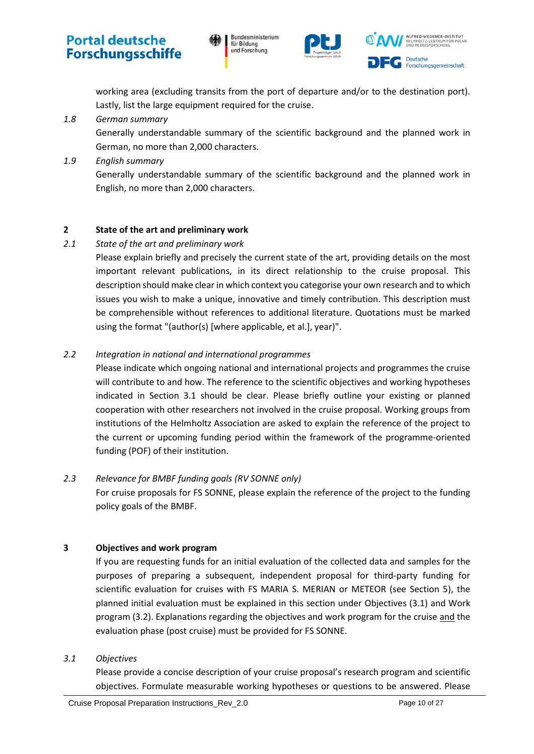





working area (excluding transits from the port of departure and/or to the destination port). Lastly, list the large equipment required for the cruise.

<span id="page-9-0"></span>*1.8 German summary*

Generally understandable summary of the scientific background and the planned work in German, no more than 2,000 characters.

<span id="page-9-1"></span>*1.9 English summary*

Generally understandable summary of the scientific background and the planned work in English, no more than 2,000 characters.

#### <span id="page-9-2"></span>**2 State of the art and preliminary work**

#### <span id="page-9-3"></span>*2.1 State of the art and preliminary work*

Please explain briefly and precisely the current state of the art, providing details on the most important relevant publications, in its direct relationship to the cruise proposal. This description should make clear in which context you categorise your own research and to which issues you wish to make a unique, innovative and timely contribution. This description must be comprehensible without references to additional literature. Quotations must be marked using the format "(author(s) [where applicable, et al.], year)".

#### <span id="page-9-4"></span>*2.2 Integration in national and international programmes*

Please indicate which ongoing national and international projects and programmes the cruise will contribute to and how. The reference to the scientific objectives and working hypotheses indicated in Section [3.1](#page-9-7) should be clear. Please briefly outline your existing or planned cooperation with other researchers not involved in the cruise proposal. Working groups from institutions of the Helmholtz Association are asked to explain the reference of the project to the current or upcoming funding period within the framework of the programme-oriented funding (POF) of their institution.

#### <span id="page-9-5"></span>*2.3 Relevance for BMBF funding goals (RV SONNE only)*

For cruise proposals for FS SONNE, please explain the reference of the project to the funding policy goals of the BMBF.

#### <span id="page-9-6"></span>**3 Objectives and work program**

If you are requesting funds for an initial evaluation of the collected data and samples for the purposes of preparing a subsequent, independent proposal for third-party funding for scientific evaluation for cruises with FS MARIA S. MERIAN or METEOR (see Section [5\)](#page-11-3), the planned initial evaluation must be explained in this section under Objectives [\(3.1\)](#page-9-7) and Work program [\(3.2\)](#page-10-0). Explanations regarding the objectives and work program for the cruise and the evaluation phase (post cruise) must be provided for FS SONNE.

#### <span id="page-9-7"></span>*3.1 Objectives*

Please provide a concise description of your cruise proposal's research program and scientific objectives. Formulate measurable working hypotheses or questions to be answered. Please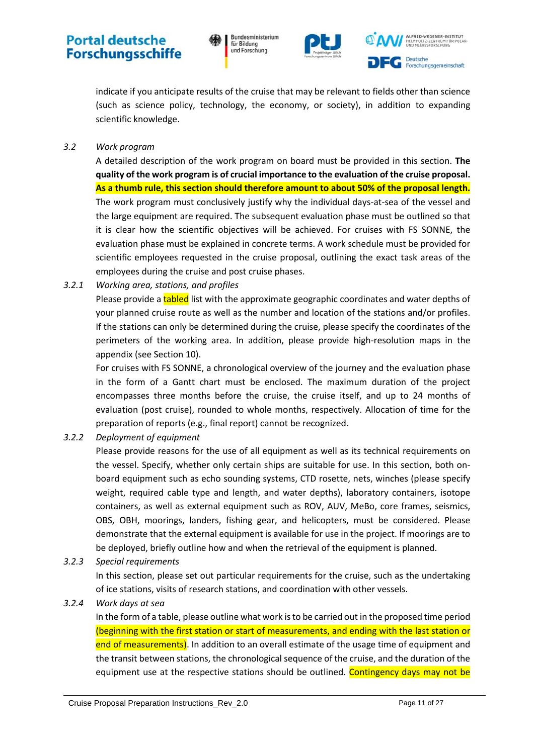Bundesministerium für Bildung und Forschung





indicate if you anticipate results of the cruise that may be relevant to fields other than science (such as science policy, technology, the economy, or society), in addition to expanding scientific knowledge.

#### <span id="page-10-0"></span>*3.2 Work program*

A detailed description of the work program on board must be provided in this section. **The quality of the work program is of crucial importance to the evaluation of the cruise proposal. As a thumb rule, this section should therefore amount to about 50% of the proposal length.** The work program must conclusively justify why the individual days-at-sea of the vessel and the large equipment are required. The subsequent evaluation phase must be outlined so that it is clear how the scientific objectives will be achieved. For cruises with FS SONNE, the evaluation phase must be explained in concrete terms. A work schedule must be provided for scientific employees requested in the cruise proposal, outlining the exact task areas of the employees during the cruise and post cruise phases.

<span id="page-10-1"></span>*3.2.1 Working area, stations, and profiles*

Please provide a **tabled** list with the approximate geographic coordinates and water depths of your planned cruise route as well as the number and location of the stations and/or profiles. If the stations can only be determined during the cruise, please specify the coordinates of the perimeters of the working area. In addition, please provide high-resolution maps in the appendix (see Section [10\)](#page-16-2).

For cruises with FS SONNE, a chronological overview of the journey and the evaluation phase in the form of a Gantt chart must be enclosed. The maximum duration of the project encompasses three months before the cruise, the cruise itself, and up to 24 months of evaluation (post cruise), rounded to whole months, respectively. Allocation of time for the preparation of reports (e.g., final report) cannot be recognized.

#### <span id="page-10-2"></span>*3.2.2 Deployment of equipment*

Please provide reasons for the use of all equipment as well as its technical requirements on the vessel. Specify, whether only certain ships are suitable for use. In this section, both onboard equipment such as echo sounding systems, CTD rosette, nets, winches (please specify weight, required cable type and length, and water depths), laboratory containers, isotope containers, as well as external equipment such as ROV, AUV, MeBo, core frames, seismics, OBS, OBH, moorings, landers, fishing gear, and helicopters, must be considered. Please demonstrate that the external equipment is available for use in the project. If moorings are to be deployed, briefly outline how and when the retrieval of the equipment is planned.

<span id="page-10-3"></span>*3.2.3 Special requirements*

In this section, please set out particular requirements for the cruise, such as the undertaking of ice stations, visits of research stations, and coordination with other vessels.

#### <span id="page-10-4"></span>*3.2.4 Work days at sea*

In the form of a table, please outline what work is to be carried out in the proposed time period (beginning with the first station or start of measurements, and ending with the last station or end of measurements). In addition to an overall estimate of the usage time of equipment and the transit between stations, the chronological sequence of the cruise, and the duration of the equipment use at the respective stations should be outlined. Contingency days may not be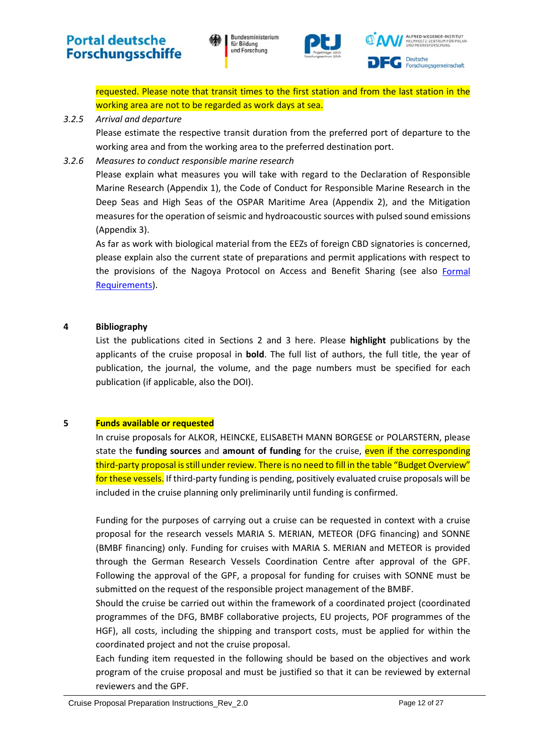Bundesministerium für Bildung und Forschung



ALFRED-WEGENER-INSTITUT **Deutsche** Forschungsgemeinschaft

requested. Please note that transit times to the first station and from the last station in the working area are not to be regarded as work days at sea.

#### <span id="page-11-0"></span>*3.2.5 Arrival and departure*

Please estimate the respective transit duration from the preferred port of departure to the working area and from the working area to the preferred destination port.

#### <span id="page-11-1"></span>*3.2.6 Measures to conduct responsible marine research*

Please explain what measures you will take with regard to the Declaration of Responsible Marine Research (Appendix 1), the Code of Conduct for Responsible Marine Research in the Deep Seas and High Seas of the OSPAR Maritime Area (Appendix 2), and the Mitigation measures for the operation of seismic and hydroacoustic sources with pulsed sound emissions (Appendix 3).

As far as work with biological material from the EEZs of foreign CBD signatories is concerned, please explain also the current state of preparations and permit applications with respect to the provisions of the Nagoya Protocol on Access and Benefit Sharing (see also Formal [Requirements\)](#page-4-0).

#### <span id="page-11-2"></span>**4 Bibliography**

List the publications cited in Sections 2 and 3 here. Please **highlight** publications by the applicants of the cruise proposal in **bold**. The full list of authors, the full title, the year of publication, the journal, the volume, and the page numbers must be specified for each publication (if applicable, also the DOI).

#### <span id="page-11-3"></span>**5 Funds available or requested**

In cruise proposals for ALKOR, HEINCKE, ELISABETH MANN BORGESE or POLARSTERN, please state the **funding sources** and **amount of funding** for the cruise, even if the corresponding third-party proposal is still under review. There is no need to fill in the table "Budget Overview" for these vessels. If third-party funding is pending, positively evaluated cruise proposals will be included in the cruise planning only preliminarily until funding is confirmed.

Funding for the purposes of carrying out a cruise can be requested in context with a cruise proposal for the research vessels MARIA S. MERIAN, METEOR (DFG financing) and SONNE (BMBF financing) only. Funding for cruises with MARIA S. MERIAN and METEOR is provided through the German Research Vessels Coordination Centre after approval of the GPF. Following the approval of the GPF, a proposal for funding for cruises with SONNE must be submitted on the request of the responsible project management of the BMBF.

Should the cruise be carried out within the framework of a coordinated project (coordinated programmes of the DFG, BMBF collaborative projects, EU projects, POF programmes of the HGF), all costs, including the shipping and transport costs, must be applied for within the coordinated project and not the cruise proposal.

Each funding item requested in the following should be based on the objectives and work program of the cruise proposal and must be justified so that it can be reviewed by external reviewers and the GPF.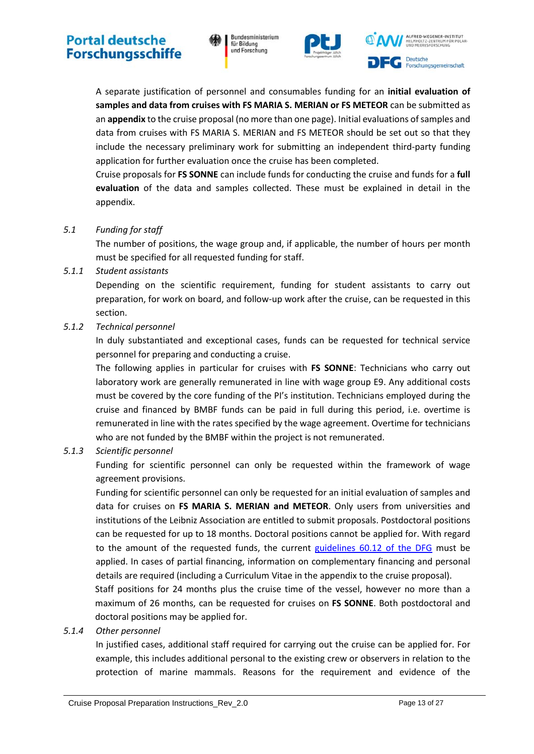

ALFRED-WEGENER-INSTITUT **Deutsche** Forschungsgemeinschaft

A separate justification of personnel and consumables funding for an **initial evaluation of samples and data from cruises with FS MARIA S. MERIAN or FS METEOR** can be submitted as an **appendix** to the cruise proposal (no more than one page). Initial evaluations of samples and data from cruises with FS MARIA S. MERIAN and FS METEOR should be set out so that they include the necessary preliminary work for submitting an independent third-party funding application for further evaluation once the cruise has been completed.

Cruise proposals for **FS SONNE** can include funds for conducting the cruise and funds for a **full evaluation** of the data and samples collected. These must be explained in detail in the appendix.

<span id="page-12-0"></span>*5.1 Funding for staff*

The number of positions, the wage group and, if applicable, the number of hours per month must be specified for all requested funding for staff.

<span id="page-12-1"></span>*5.1.1 Student assistants*

Depending on the scientific requirement, funding for student assistants to carry out preparation, for work on board, and follow-up work after the cruise, can be requested in this section.

<span id="page-12-2"></span>*5.1.2 Technical personnel*

In duly substantiated and exceptional cases, funds can be requested for technical service personnel for preparing and conducting a cruise.

The following applies in particular for cruises with **FS SONNE**: Technicians who carry out laboratory work are generally remunerated in line with wage group E9. Any additional costs must be covered by the core funding of the PI's institution. Technicians employed during the cruise and financed by BMBF funds can be paid in full during this period, i.e. overtime is remunerated in line with the rates specified by the wage agreement. Overtime for technicians who are not funded by the BMBF within the project is not remunerated.

#### <span id="page-12-3"></span>*5.1.3 Scientific personnel*

Funding for scientific personnel can only be requested within the framework of wage agreement provisions.

Funding for scientific personnel can only be requested for an initial evaluation of samples and data for cruises on **FS MARIA S. MERIAN and METEOR**. Only users from universities and institutions of the Leibniz Association are entitled to submit proposals. Postdoctoral positions can be requested for up to 18 months. Doctoral positions cannot be applied for. With regard to the amount of the requested funds, the current [guidelines 60.12 of the DFG](http://www.dfg.de/formulare/60_12/60_12_en.pdf) must be applied. In cases of partial financing, information on complementary financing and personal details are required (including a Curriculum Vitae in the appendix to the cruise proposal).

Staff positions for 24 months plus the cruise time of the vessel, however no more than a maximum of 26 months, can be requested for cruises on **FS SONNE**. Both postdoctoral and doctoral positions may be applied for.

#### <span id="page-12-4"></span>*5.1.4 Other personnel*

In justified cases, additional staff required for carrying out the cruise can be applied for. For example, this includes additional personal to the existing crew or observers in relation to the protection of marine mammals. Reasons for the requirement and evidence of the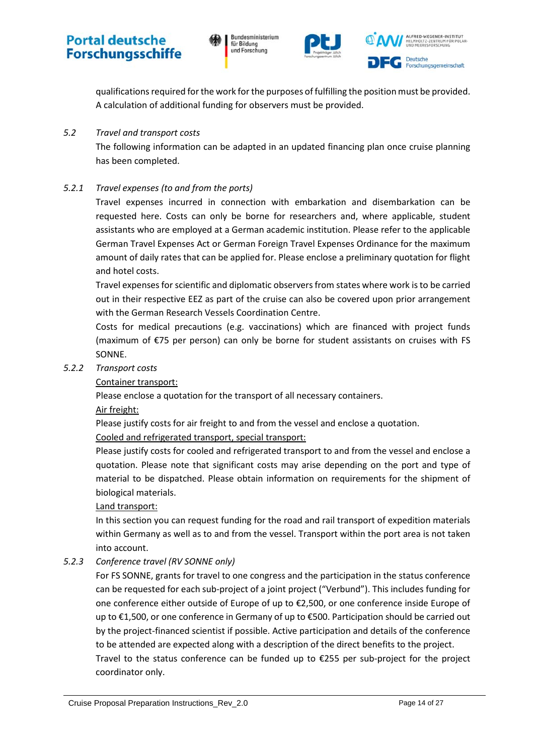





qualifications required for the work for the purposes of fulfilling the position must be provided. A calculation of additional funding for observers must be provided.

#### <span id="page-13-0"></span>*5.2 Travel and transport costs*

The following information can be adapted in an updated financing plan once cruise planning has been completed.

#### <span id="page-13-1"></span>*5.2.1 Travel expenses (to and from the ports)*

Travel expenses incurred in connection with embarkation and disembarkation can be requested here. Costs can only be borne for researchers and, where applicable, student assistants who are employed at a German academic institution. Please refer to the applicable German Travel Expenses Act or German Foreign Travel Expenses Ordinance for the maximum amount of daily rates that can be applied for. Please enclose a preliminary quotation for flight and hotel costs.

Travel expenses for scientific and diplomatic observers from states where work is to be carried out in their respective EEZ as part of the cruise can also be covered upon prior arrangement with the German Research Vessels Coordination Centre.

Costs for medical precautions (e.g. vaccinations) which are financed with project funds (maximum of €75 per person) can only be borne for student assistants on cruises with FS SONNE.

#### <span id="page-13-2"></span>*5.2.2 Transport costs*

Container transport:

Please enclose a quotation for the transport of all necessary containers.

Air freight:

Please justify costs for air freight to and from the vessel and enclose a quotation.

Cooled and refrigerated transport, special transport:

Please justify costs for cooled and refrigerated transport to and from the vessel and enclose a quotation. Please note that significant costs may arise depending on the port and type of material to be dispatched. Please obtain information on requirements for the shipment of biological materials.

#### Land transport:

In this section you can request funding for the road and rail transport of expedition materials within Germany as well as to and from the vessel. Transport within the port area is not taken into account.

#### <span id="page-13-3"></span>*5.2.3 Conference travel (RV SONNE only)*

For FS SONNE, grants for travel to one congress and the participation in the status conference can be requested for each sub-project of a joint project ("Verbund"). This includes funding for one conference either outside of Europe of up to €2,500, or one conference inside Europe of up to €1,500, or one conference in Germany of up to €500. Participation should be carried out by the project-financed scientist if possible. Active participation and details of the conference to be attended are expected along with a description of the direct benefits to the project. Travel to the status conference can be funded up to  $\epsilon$ 255 per sub-project for the project coordinator only.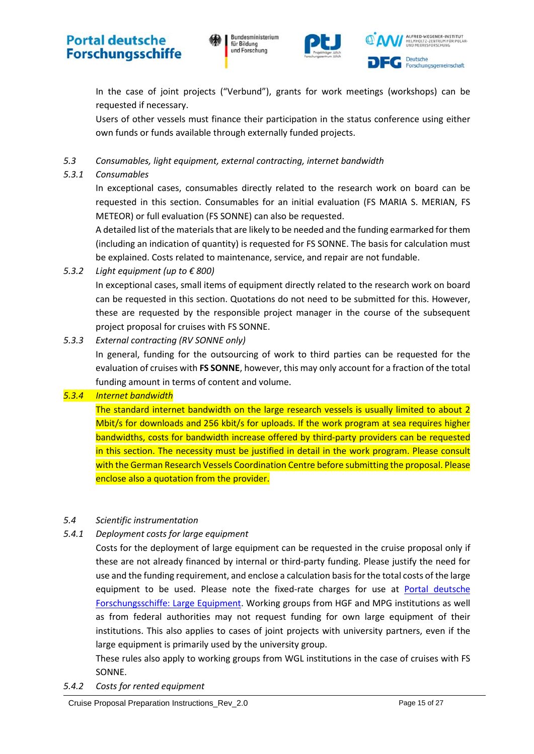





In the case of joint projects ("Verbund"), grants for work meetings (workshops) can be requested if necessary.

Users of other vessels must finance their participation in the status conference using either own funds or funds available through externally funded projects.

<span id="page-14-0"></span>*5.3 Consumables, light equipment, external contracting, internet bandwidth*

#### <span id="page-14-1"></span>*5.3.1 Consumables*

In exceptional cases, consumables directly related to the research work on board can be requested in this section. Consumables for an initial evaluation (FS MARIA S. MERIAN, FS METEOR) or full evaluation (FS SONNE) can also be requested.

A detailed list of the materials that are likely to be needed and the funding earmarked for them (including an indication of quantity) is requested for FS SONNE. The basis for calculation must be explained. Costs related to maintenance, service, and repair are not fundable.

<span id="page-14-2"></span>*5.3.2 Light equipment (up to € 800)*

In exceptional cases, small items of equipment directly related to the research work on board can be requested in this section. Quotations do not need to be submitted for this. However, these are requested by the responsible project manager in the course of the subsequent project proposal for cruises with FS SONNE.

<span id="page-14-3"></span>*5.3.3 External contracting (RV SONNE only)*

In general, funding for the outsourcing of work to third parties can be requested for the evaluation of cruises with **FS SONNE**, however, this may only account for a fraction of the total funding amount in terms of content and volume.

#### <span id="page-14-4"></span>*5.3.4 Internet bandwidth*

The standard internet bandwidth on the large research vessels is usually limited to about 2 Mbit/s for downloads and 256 kbit/s for uploads. If the work program at sea requires higher bandwidths, costs for bandwidth increase offered by third-party providers can be requested in this section. The necessity must be justified in detail in the work program. Please consult with the German Research Vessels Coordination Centre before submitting the proposal. Please enclose also a quotation from the provider.

#### <span id="page-14-5"></span>*5.4 Scientific instrumentation*

#### <span id="page-14-6"></span>*5.4.1 Deployment costs for large equipment*

Costs for the deployment of large equipment can be requested in the cruise proposal only if these are not already financed by internal or third-party funding. Please justify the need for use and the funding requirement, and enclose a calculation basisfor the total costs of the large equipment to be used. Please note the fixed-rate charges for use at Portal deutsche [Forschungsschiffe: Large Equipment.](https://www.portal-forschungsschiffe.de/en/equipment) Working groups from HGF and MPG institutions as well as from federal authorities may not request funding for own large equipment of their institutions. This also applies to cases of joint projects with university partners, even if the large equipment is primarily used by the university group.

These rules also apply to working groups from WGL institutions in the case of cruises with FS SONNE.

<span id="page-14-7"></span>*5.4.2 Costs for rented equipment*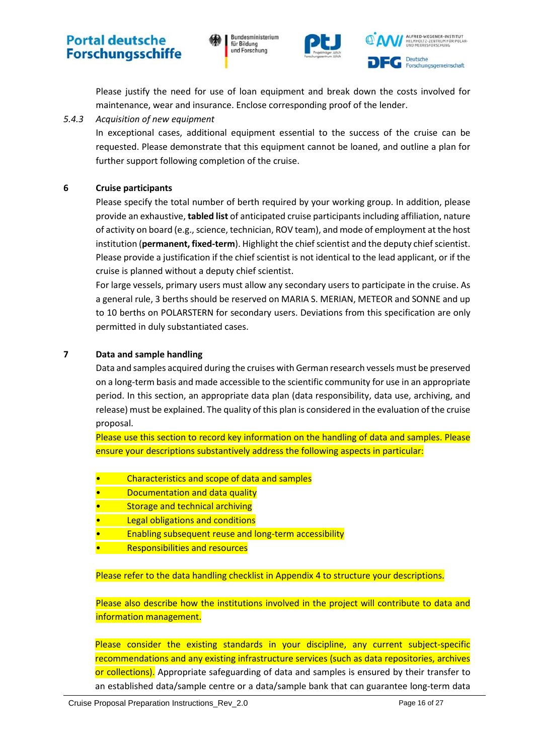





Please justify the need for use of loan equipment and break down the costs involved for maintenance, wear and insurance. Enclose corresponding proof of the lender.

#### <span id="page-15-0"></span>*5.4.3 Acquisition of new equipment*

In exceptional cases, additional equipment essential to the success of the cruise can be requested. Please demonstrate that this equipment cannot be loaned, and outline a plan for further support following completion of the cruise.

#### <span id="page-15-1"></span>**6 Cruise participants**

Please specify the total number of berth required by your working group. In addition, please provide an exhaustive, **tabled list** of anticipated cruise participants including affiliation, nature of activity on board (e.g., science, technician, ROV team), and mode of employment at the host institution (**permanent, fixed-term**). Highlight the chief scientist and the deputy chief scientist. Please provide a justification if the chief scientist is not identical to the lead applicant, or if the cruise is planned without a deputy chief scientist.

For large vessels, primary users must allow any secondary users to participate in the cruise. As a general rule, 3 berths should be reserved on MARIA S. MERIAN, METEOR and SONNE and up to 10 berths on POLARSTERN for secondary users. Deviations from this specification are only permitted in duly substantiated cases.

#### <span id="page-15-2"></span>**7 Data and sample handling**

Data and samples acquired during the cruises with German research vessels must be preserved on a long-term basis and made accessible to the scientific community for use in an appropriate period. In this section, an appropriate data plan (data responsibility, data use, archiving, and release) must be explained. The quality of this plan is considered in the evaluation of the cruise proposal.

Please use this section to record key information on the handling of data and samples. Please ensure your descriptions substantively address the following aspects in particular:

- Characteristics and scope of data and samples
- Documentation and data quality
- Storage and technical archiving
- **Legal obligations and conditions**
- Enabling subsequent reuse and long-term accessibility
- Responsibilities and resources

Please refer to the data handling checklist in Appendix 4 to structure your descriptions.

Please also describe how the institutions involved in the project will contribute to data and information management.

Please consider the existing standards in your discipline, any current subject-specific recommendations and any existing infrastructure services (such as data repositories, archives or collections). Appropriate safeguarding of data and samples is ensured by their transfer to an established data/sample centre or a data/sample bank that can guarantee long-term data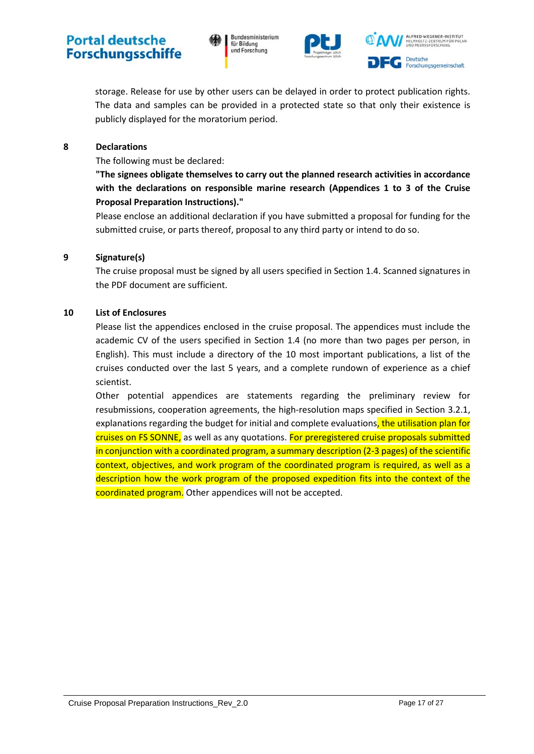



storage. Release for use by other users can be delayed in order to protect publication rights. The data and samples can be provided in a protected state so that only their existence is publicly displayed for the moratorium period.

#### <span id="page-16-0"></span>**8 Declarations**

The following must be declared:

**"The signees obligate themselves to carry out the planned research activities in accordance with the declarations on responsible marine research (Appendices 1 to 3 of the Cruise Proposal Preparation Instructions)."**

Please enclose an additional declaration if you have submitted a proposal for funding for the submitted cruise, or parts thereof, proposal to any third party or intend to do so.

#### <span id="page-16-1"></span>**9 Signature(s)**

The cruise proposal must be signed by all users specified in Section [1.4.](#page-8-5) Scanned signatures in the PDF document are sufficient.

#### <span id="page-16-2"></span>**10 List of Enclosures**

Please list the appendices enclosed in the cruise proposal. The appendices must include the academic CV of the users specified in Section [1.4](#page-8-5) (no more than two pages per person, in English). This must include a directory of the 10 most important publications, a list of the cruises conducted over the last 5 years, and a complete rundown of experience as a chief scientist.

Other potential appendices are statements regarding the preliminary review for resubmissions, cooperation agreements, the high-resolution maps specified in Section [3.2.1,](#page-10-1) explanations regarding the budget for initial and complete evaluations, the utilisation plan for cruises on FS SONNE, as well as any quotations. For preregistered cruise proposals submitted in conjunction with a coordinated program, a summary description (2-3 pages) of the scientific context, objectives, and work program of the coordinated program is required, as well as a description how the work program of the proposed expedition fits into the context of the coordinated program. Other appendices will not be accepted.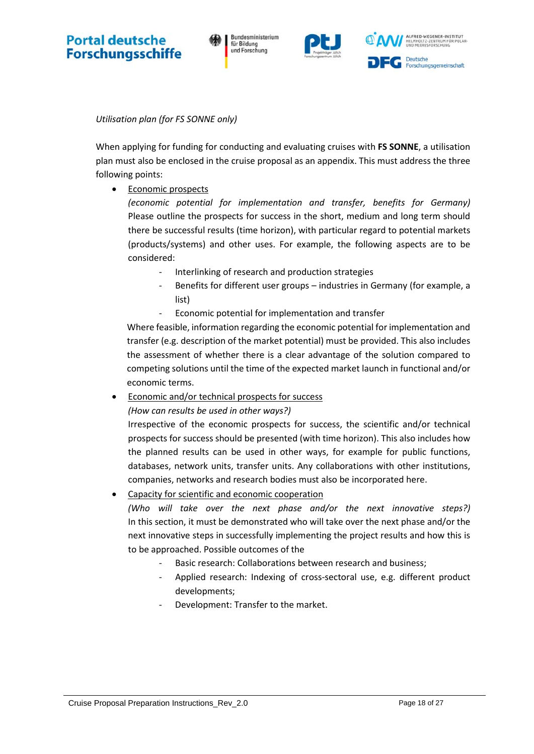Bundesministerium für Bildung und Forschung



*Utilisation plan (for FS SONNE only)*

When applying for funding for conducting and evaluating cruises with **FS SONNE**, a utilisation plan must also be enclosed in the cruise proposal as an appendix. This must address the three following points:

• Economic prospects

*(economic potential for implementation and transfer, benefits for Germany)* Please outline the prospects for success in the short, medium and long term should there be successful results (time horizon), with particular regard to potential markets (products/systems) and other uses. For example, the following aspects are to be considered:

- Interlinking of research and production strategies
- Benefits for different user groups industries in Germany (for example, a list)
- Economic potential for implementation and transfer

Where feasible, information regarding the economic potential for implementation and transfer (e.g. description of the market potential) must be provided. This also includes the assessment of whether there is a clear advantage of the solution compared to competing solutions until the time of the expected market launch in functional and/or economic terms.

Economic and/or technical prospects for success

*(How can results be used in other ways?)*

Irrespective of the economic prospects for success, the scientific and/or technical prospects for success should be presented (with time horizon). This also includes how the planned results can be used in other ways, for example for public functions, databases, network units, transfer units. Any collaborations with other institutions, companies, networks and research bodies must also be incorporated here.

• Capacity for scientific and economic cooperation

*(Who will take over the next phase and/or the next innovative steps?)* In this section, it must be demonstrated who will take over the next phase and/or the next innovative steps in successfully implementing the project results and how this is to be approached. Possible outcomes of the

- Basic research: Collaborations between research and business;
- Applied research: Indexing of cross-sectoral use, e.g. different product developments;
- Development: Transfer to the market.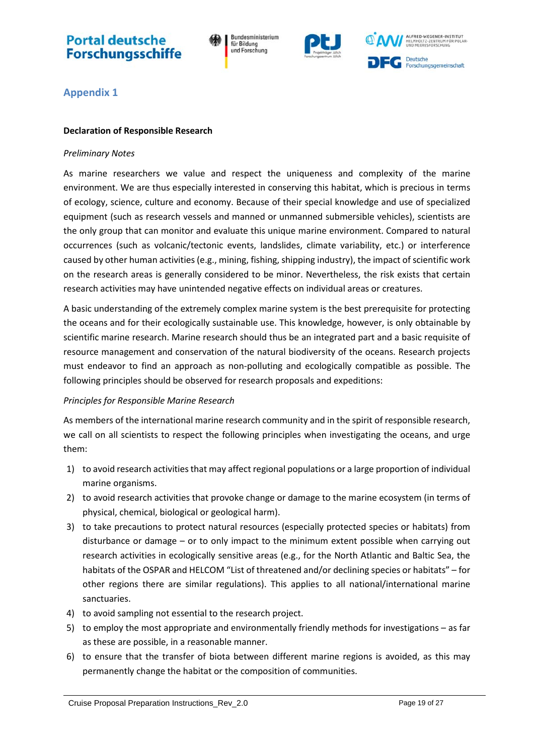Bundesministerium für Bildung und Forschung



ALFRED-WEGENER-INSTITUT **Deutsche** Forschungsgemeinschaft

### <span id="page-18-0"></span>**Appendix 1**

#### <span id="page-18-1"></span>**Declaration of Responsible Research**

#### *Preliminary Notes*

As marine researchers we value and respect the uniqueness and complexity of the marine environment. We are thus especially interested in conserving this habitat, which is precious in terms of ecology, science, culture and economy. Because of their special knowledge and use of specialized equipment (such as research vessels and manned or unmanned submersible vehicles), scientists are the only group that can monitor and evaluate this unique marine environment. Compared to natural occurrences (such as volcanic/tectonic events, landslides, climate variability, etc.) or interference caused by other human activities (e.g., mining, fishing, shipping industry), the impact of scientific work on the research areas is generally considered to be minor. Nevertheless, the risk exists that certain research activities may have unintended negative effects on individual areas or creatures.

A basic understanding of the extremely complex marine system is the best prerequisite for protecting the oceans and for their ecologically sustainable use. This knowledge, however, is only obtainable by scientific marine research. Marine research should thus be an integrated part and a basic requisite of resource management and conservation of the natural biodiversity of the oceans. Research projects must endeavor to find an approach as non-polluting and ecologically compatible as possible. The following principles should be observed for research proposals and expeditions:

#### *Principles for Responsible Marine Research*

As members of the international marine research community and in the spirit of responsible research, we call on all scientists to respect the following principles when investigating the oceans, and urge them:

- 1) to avoid research activities that may affect regional populations or a large proportion of individual marine organisms.
- 2) to avoid research activities that provoke change or damage to the marine ecosystem (in terms of physical, chemical, biological or geological harm).
- 3) to take precautions to protect natural resources (especially protected species or habitats) from disturbance or damage – or to only impact to the minimum extent possible when carrying out research activities in ecologically sensitive areas (e.g., for the North Atlantic and Baltic Sea, the habitats of the OSPAR and HELCOM "List of threatened and/or declining species or habitats" – for other regions there are similar regulations). This applies to all national/international marine sanctuaries.
- 4) to avoid sampling not essential to the research project.
- 5) to employ the most appropriate and environmentally friendly methods for investigations as far as these are possible, in a reasonable manner.
- 6) to ensure that the transfer of biota between different marine regions is avoided, as this may permanently change the habitat or the composition of communities.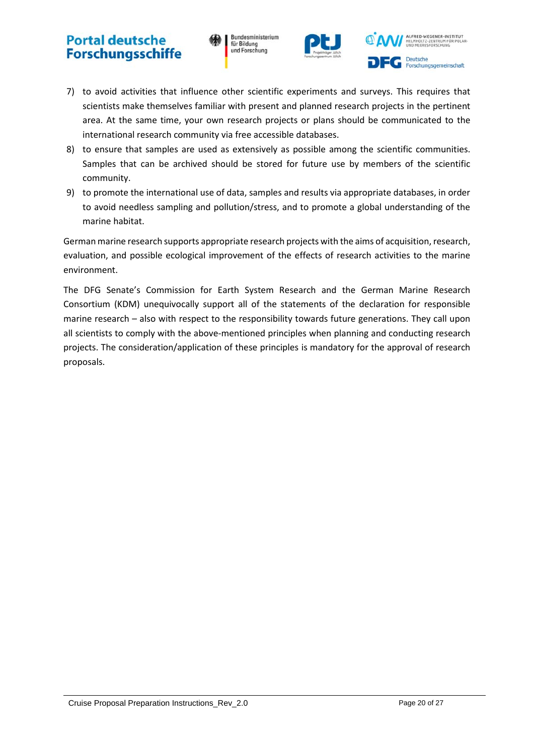Bundesministerium für Bildung und Forschung



**ILFRED-WEGENER-INSTITUT Deutsche** Forschungsgemeinschaft

- 7) to avoid activities that influence other scientific experiments and surveys. This requires that scientists make themselves familiar with present and planned research projects in the pertinent area. At the same time, your own research projects or plans should be communicated to the international research community via free accessible databases.
- 8) to ensure that samples are used as extensively as possible among the scientific communities. Samples that can be archived should be stored for future use by members of the scientific community.
- 9) to promote the international use of data, samples and results via appropriate databases, in order to avoid needless sampling and pollution/stress, and to promote a global understanding of the marine habitat.

German marine research supports appropriate research projects with the aims of acquisition, research, evaluation, and possible ecological improvement of the effects of research activities to the marine environment.

The DFG Senate's Commission for Earth System Research and the German Marine Research Consortium (KDM) unequivocally support all of the statements of the declaration for responsible marine research – also with respect to the responsibility towards future generations. They call upon all scientists to comply with the above-mentioned principles when planning and conducting research projects. The consideration/application of these principles is mandatory for the approval of research proposals.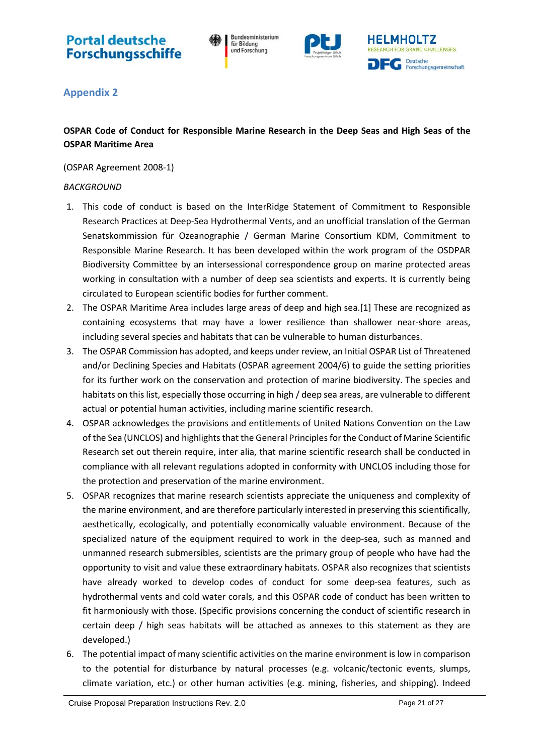Bundesministerium für Bildung und Forschung



### <span id="page-20-0"></span>**Appendix 2**

### <span id="page-20-1"></span>**OSPAR Code of Conduct for Responsible Marine Research in the Deep Seas and High Seas of the OSPAR Maritime Area**

(OSPAR Agreement 2008-1)

#### *BACKGROUND*

- 1. This code of conduct is based on the InterRidge Statement of Commitment to Responsible Research Practices at Deep-Sea Hydrothermal Vents, and an unofficial translation of the German Senatskommission für Ozeanographie / German Marine Consortium KDM, Commitment to Responsible Marine Research. It has been developed within the work program of the OSDPAR Biodiversity Committee by an intersessional correspondence group on marine protected areas working in consultation with a number of deep sea scientists and experts. It is currently being circulated to European scientific bodies for further comment.
- 2. The OSPAR Maritime Area includes large areas of deep and high sea.[1] These are recognized as containing ecosystems that may have a lower resilience than shallower near-shore areas, including several species and habitats that can be vulnerable to human disturbances.
- 3. The OSPAR Commission has adopted, and keeps under review, an Initial OSPAR List of Threatened and/or Declining Species and Habitats (OSPAR agreement 2004/6) to guide the setting priorities for its further work on the conservation and protection of marine biodiversity. The species and habitats on this list, especially those occurring in high / deep sea areas, are vulnerable to different actual or potential human activities, including marine scientific research.
- 4. OSPAR acknowledges the provisions and entitlements of United Nations Convention on the Law of the Sea (UNCLOS) and highlights that the General Principles for the Conduct of Marine Scientific Research set out therein require, inter alia, that marine scientific research shall be conducted in compliance with all relevant regulations adopted in conformity with UNCLOS including those for the protection and preservation of the marine environment.
- 5. OSPAR recognizes that marine research scientists appreciate the uniqueness and complexity of the marine environment, and are therefore particularly interested in preserving this scientifically, aesthetically, ecologically, and potentially economically valuable environment. Because of the specialized nature of the equipment required to work in the deep-sea, such as manned and unmanned research submersibles, scientists are the primary group of people who have had the opportunity to visit and value these extraordinary habitats. OSPAR also recognizes that scientists have already worked to develop codes of conduct for some deep-sea features, such as hydrothermal vents and cold water corals, and this OSPAR code of conduct has been written to fit harmoniously with those. (Specific provisions concerning the conduct of scientific research in certain deep / high seas habitats will be attached as annexes to this statement as they are developed.)
- 6. The potential impact of many scientific activities on the marine environment is low in comparison to the potential for disturbance by natural processes (e.g. volcanic/tectonic events, slumps, climate variation, etc.) or other human activities (e.g. mining, fisheries, and shipping). Indeed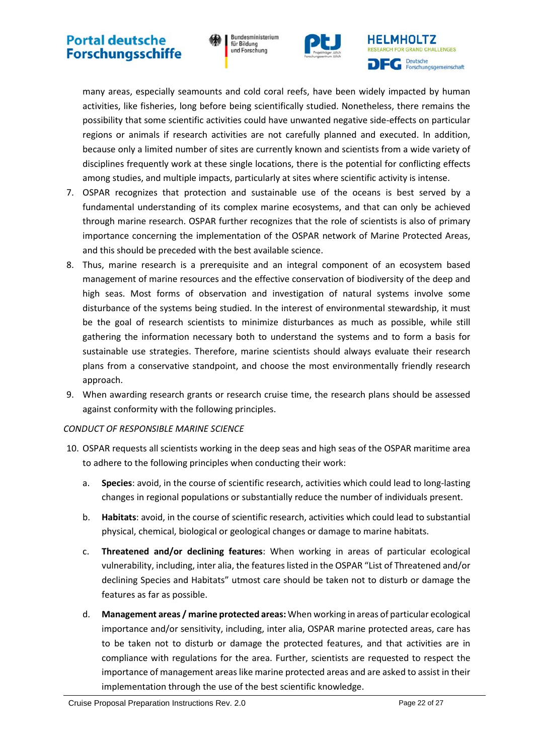Bundesministerium für Bildung und Forschung





many areas, especially seamounts and cold coral reefs, have been widely impacted by human activities, like fisheries, long before being scientifically studied. Nonetheless, there remains the possibility that some scientific activities could have unwanted negative side-effects on particular regions or animals if research activities are not carefully planned and executed. In addition, because only a limited number of sites are currently known and scientists from a wide variety of disciplines frequently work at these single locations, there is the potential for conflicting effects among studies, and multiple impacts, particularly at sites where scientific activity is intense.

- 7. OSPAR recognizes that protection and sustainable use of the oceans is best served by a fundamental understanding of its complex marine ecosystems, and that can only be achieved through marine research. OSPAR further recognizes that the role of scientists is also of primary importance concerning the implementation of the OSPAR network of Marine Protected Areas, and this should be preceded with the best available science.
- 8. Thus, marine research is a prerequisite and an integral component of an ecosystem based management of marine resources and the effective conservation of biodiversity of the deep and high seas. Most forms of observation and investigation of natural systems involve some disturbance of the systems being studied. In the interest of environmental stewardship, it must be the goal of research scientists to minimize disturbances as much as possible, while still gathering the information necessary both to understand the systems and to form a basis for sustainable use strategies. Therefore, marine scientists should always evaluate their research plans from a conservative standpoint, and choose the most environmentally friendly research approach.
- 9. When awarding research grants or research cruise time, the research plans should be assessed against conformity with the following principles.

#### *CONDUCT OF RESPONSIBLE MARINE SCIENCE*

- 10. OSPAR requests all scientists working in the deep seas and high seas of the OSPAR maritime area to adhere to the following principles when conducting their work:
	- a. **Species**: avoid, in the course of scientific research, activities which could lead to long-lasting changes in regional populations or substantially reduce the number of individuals present.
	- b. **Habitats**: avoid, in the course of scientific research, activities which could lead to substantial physical, chemical, biological or geological changes or damage to marine habitats.
	- c. **Threatened and/or declining features**: When working in areas of particular ecological vulnerability, including, inter alia, the features listed in the OSPAR "List of Threatened and/or declining Species and Habitats" utmost care should be taken not to disturb or damage the features as far as possible.
	- d. **Management areas / marine protected areas:** When working in areas of particular ecological importance and/or sensitivity, including, inter alia, OSPAR marine protected areas, care has to be taken not to disturb or damage the protected features, and that activities are in compliance with regulations for the area. Further, scientists are requested to respect the importance of management areas like marine protected areas and are asked to assist in their implementation through the use of the best scientific knowledge.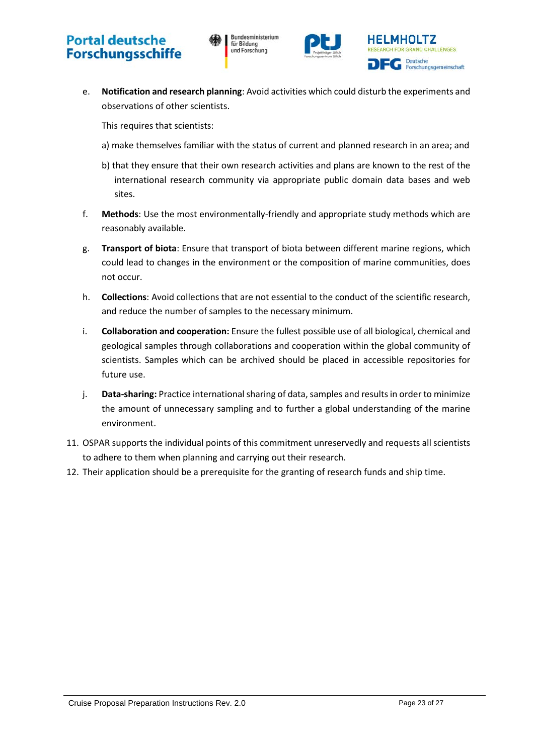



e. **Notification and research planning**: Avoid activities which could disturb the experiments and observations of other scientists.

This requires that scientists:

- a) make themselves familiar with the status of current and planned research in an area; and
- b) that they ensure that their own research activities and plans are known to the rest of the international research community via appropriate public domain data bases and web sites.
- f. **Methods**: Use the most environmentally-friendly and appropriate study methods which are reasonably available.
- g. **Transport of biota**: Ensure that transport of biota between different marine regions, which could lead to changes in the environment or the composition of marine communities, does not occur.
- h. **Collections**: Avoid collections that are not essential to the conduct of the scientific research, and reduce the number of samples to the necessary minimum.
- i. **Collaboration and cooperation:** Ensure the fullest possible use of all biological, chemical and geological samples through collaborations and cooperation within the global community of scientists. Samples which can be archived should be placed in accessible repositories for future use.
- j. **Data-sharing:** Practice international sharing of data, samples and results in order to minimize the amount of unnecessary sampling and to further a global understanding of the marine environment.
- 11. OSPAR supports the individual points of this commitment unreservedly and requests all scientists to adhere to them when planning and carrying out their research.
- 12. Their application should be a prerequisite for the granting of research funds and ship time.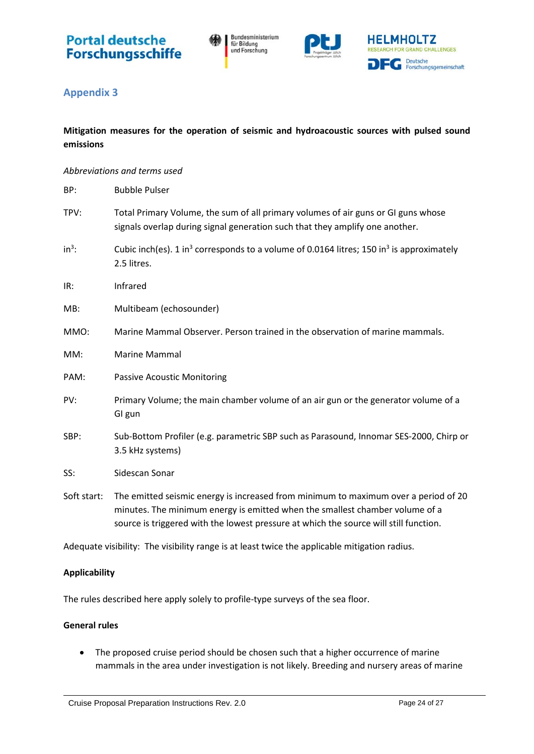

Bundesministerium<br>für Bildung<br>und Forschung



### <span id="page-23-0"></span>**Appendix 3**

### <span id="page-23-1"></span>**Mitigation measures for the operation of seismic and hydroacoustic sources with pulsed sound emissions**

#### *Abbreviations and terms used*

| BP:         | <b>Bubble Pulser</b>                                                                                                                                                                                                                                         |
|-------------|--------------------------------------------------------------------------------------------------------------------------------------------------------------------------------------------------------------------------------------------------------------|
| TPV:        | Total Primary Volume, the sum of all primary volumes of air guns or GI guns whose<br>signals overlap during signal generation such that they amplify one another.                                                                                            |
| $in^3$ :    | Cubic inch(es). 1 in <sup>3</sup> corresponds to a volume of 0.0164 litres; 150 in <sup>3</sup> is approximately<br>2.5 litres.                                                                                                                              |
| IR:         | Infrared                                                                                                                                                                                                                                                     |
| MB:         | Multibeam (echosounder)                                                                                                                                                                                                                                      |
| MMO:        | Marine Mammal Observer. Person trained in the observation of marine mammals.                                                                                                                                                                                 |
| MM:         | <b>Marine Mammal</b>                                                                                                                                                                                                                                         |
| PAM:        | <b>Passive Acoustic Monitoring</b>                                                                                                                                                                                                                           |
| PV:         | Primary Volume; the main chamber volume of an air gun or the generator volume of a<br>GI gun                                                                                                                                                                 |
| SBP:        | Sub-Bottom Profiler (e.g. parametric SBP such as Parasound, Innomar SES-2000, Chirp or<br>3.5 kHz systems)                                                                                                                                                   |
| SS:         | Sidescan Sonar                                                                                                                                                                                                                                               |
| Soft start: | The emitted seismic energy is increased from minimum to maximum over a period of 20<br>minutes. The minimum energy is emitted when the smallest chamber volume of a<br>source is triggered with the lowest pressure at which the source will still function. |

Adequate visibility: The visibility range is at least twice the applicable mitigation radius.

#### **Applicability**

The rules described here apply solely to profile-type surveys of the sea floor.

#### **General rules**

• The proposed cruise period should be chosen such that a higher occurrence of marine mammals in the area under investigation is not likely. Breeding and nursery areas of marine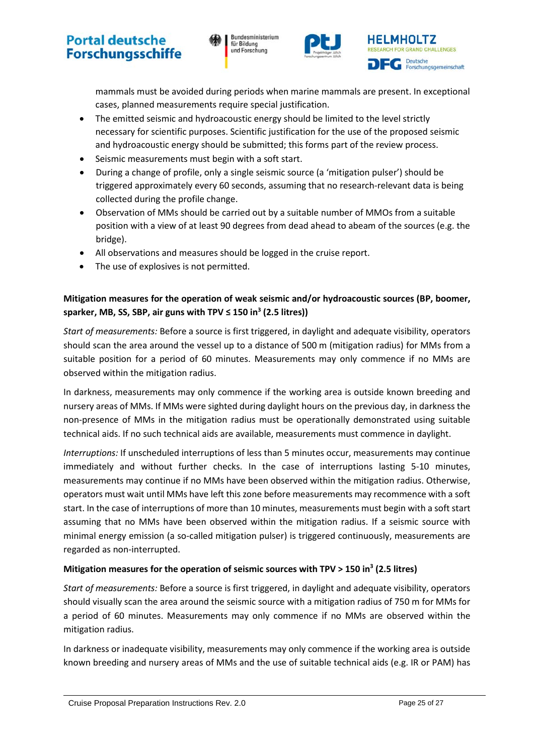Bundesministerium für Bildung und Forschung





mammals must be avoided during periods when marine mammals are present. In exceptional cases, planned measurements require special justification.

- The emitted seismic and hydroacoustic energy should be limited to the level strictly necessary for scientific purposes. Scientific justification for the use of the proposed seismic and hydroacoustic energy should be submitted; this forms part of the review process.
- Seismic measurements must begin with a soft start.
- During a change of profile, only a single seismic source (a 'mitigation pulser') should be triggered approximately every 60 seconds, assuming that no research-relevant data is being collected during the profile change.
- Observation of MMs should be carried out by a suitable number of MMOs from a suitable position with a view of at least 90 degrees from dead ahead to abeam of the sources (e.g. the bridge).
- All observations and measures should be logged in the cruise report.
- The use of explosives is not permitted.

### **Mitigation measures for the operation of weak seismic and/or hydroacoustic sources (BP, boomer, sparker, MB, SS, SBP, air guns with TPV ≤ 150 in<sup>3</sup> (2.5 litres))**

*Start of measurements:* Before a source is first triggered, in daylight and adequate visibility, operators should scan the area around the vessel up to a distance of 500 m (mitigation radius) for MMs from a suitable position for a period of 60 minutes. Measurements may only commence if no MMs are observed within the mitigation radius.

In darkness, measurements may only commence if the working area is outside known breeding and nursery areas of MMs. If MMs were sighted during daylight hours on the previous day, in darkness the non-presence of MMs in the mitigation radius must be operationally demonstrated using suitable technical aids. If no such technical aids are available, measurements must commence in daylight.

*Interruptions:* If unscheduled interruptions of less than 5 minutes occur, measurements may continue immediately and without further checks. In the case of interruptions lasting 5-10 minutes, measurements may continue if no MMs have been observed within the mitigation radius. Otherwise, operators must wait until MMs have left this zone before measurements may recommence with a soft start. In the case of interruptions of more than 10 minutes, measurements must begin with a soft start assuming that no MMs have been observed within the mitigation radius. If a seismic source with minimal energy emission (a so-called mitigation pulser) is triggered continuously, measurements are regarded as non-interrupted.

#### **Mitigation measures for the operation of seismic sources with TPV > 150 in3 (2.5 litres)**

*Start of measurements:* Before a source is first triggered, in daylight and adequate visibility, operators should visually scan the area around the seismic source with a mitigation radius of 750 m for MMs for a period of 60 minutes. Measurements may only commence if no MMs are observed within the mitigation radius.

In darkness or inadequate visibility, measurements may only commence if the working area is outside known breeding and nursery areas of MMs and the use of suitable technical aids (e.g. IR or PAM) has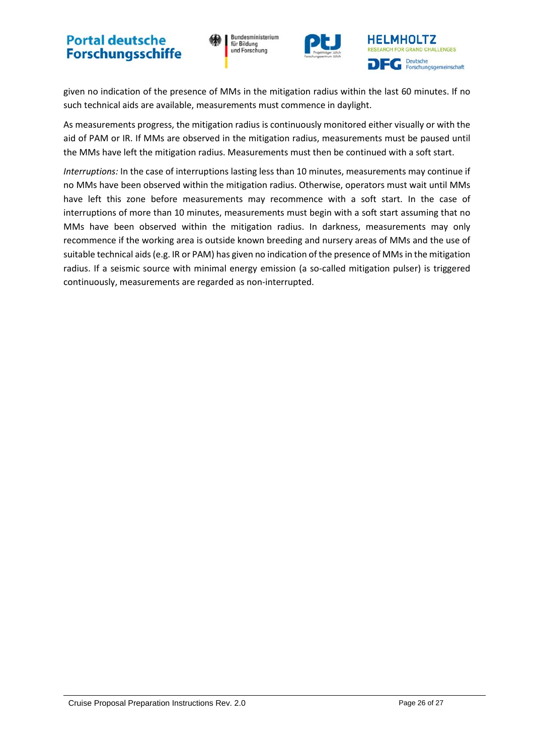Bundesministerium für Bildung und Forschung





given no indication of the presence of MMs in the mitigation radius within the last 60 minutes. If no such technical aids are available, measurements must commence in daylight.

As measurements progress, the mitigation radius is continuously monitored either visually or with the aid of PAM or IR. If MMs are observed in the mitigation radius, measurements must be paused until the MMs have left the mitigation radius. Measurements must then be continued with a soft start.

*Interruptions:* In the case of interruptions lasting less than 10 minutes, measurements may continue if no MMs have been observed within the mitigation radius. Otherwise, operators must wait until MMs have left this zone before measurements may recommence with a soft start. In the case of interruptions of more than 10 minutes, measurements must begin with a soft start assuming that no MMs have been observed within the mitigation radius. In darkness, measurements may only recommence if the working area is outside known breeding and nursery areas of MMs and the use of suitable technical aids (e.g. IR or PAM) has given no indication of the presence of MMs in the mitigation radius. If a seismic source with minimal energy emission (a so-called mitigation pulser) is triggered continuously, measurements are regarded as non-interrupted.